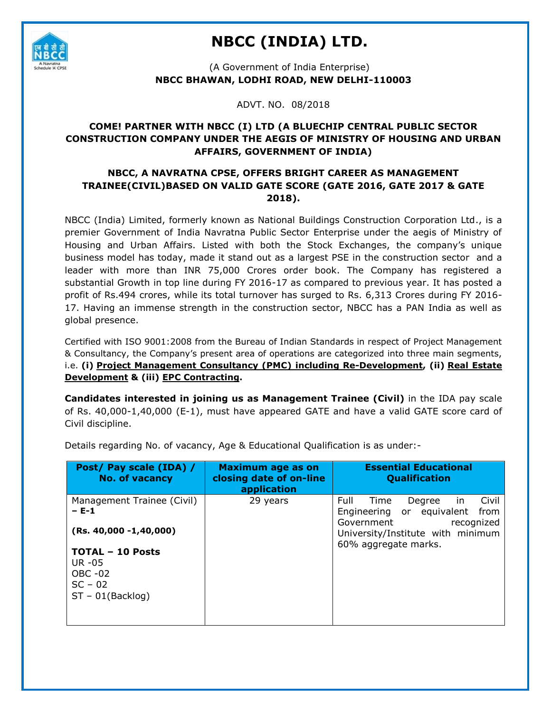

# **NBCC (INDIA) LTD.**

(A Government of India Enterprise) **NBCC BHAWAN, LODHI ROAD, NEW DELHI-110003**

ADVT. NO. 08/2018

## **COME! PARTNER WITH NBCC (I) LTD (A BLUECHIP CENTRAL PUBLIC SECTOR CONSTRUCTION COMPANY UNDER THE AEGIS OF MINISTRY OF HOUSING AND URBAN AFFAIRS, GOVERNMENT OF INDIA)**

## **NBCC, A NAVRATNA CPSE, OFFERS BRIGHT CAREER AS MANAGEMENT TRAINEE(CIVIL)BASED ON VALID GATE SCORE (GATE 2016, GATE 2017 & GATE 2018).**

NBCC (India) Limited, formerly known as National Buildings Construction Corporation Ltd., is a premier Government of India Navratna Public Sector Enterprise under the aegis of Ministry of Housing and Urban Affairs. Listed with both the Stock Exchanges, the company's unique business model has today, made it stand out as a largest PSE in the construction sector and a leader with more than INR 75,000 Crores order book. The Company has registered a substantial Growth in top line during FY 2016-17 as compared to previous year. It has posted a profit of Rs.494 crores, while its total turnover has surged to Rs. 6,313 Crores during FY 2016- 17. Having an immense strength in the construction sector, NBCC has a PAN India as well as global presence.

Certified with ISO 9001:2008 from the Bureau of Indian Standards in respect of Project Management & Consultancy, the Company's present area of operations are categorized into three main segments, i.e. **(i) [Project Management Consultancy \(PMC\)](http://www.nbccindia.com/nbccindia/nroot/njsp/Pmc.jsp) including Re-Development, (ii) [Real Estate](http://www.nbccindia.com/nbccindia/nroot/njsp/RealFront.jsp)  [Development](http://www.nbccindia.com/nbccindia/nroot/njsp/RealFront.jsp) & (iii) [EPC Contracting.](http://www.nbccindia.com/nbccindia/nroot/njsp/Epc.jsp)**

**Candidates interested in joining us as Management Trainee (Civil)** in the IDA pay scale of Rs. 40,000-1,40,000 (E-1), must have appeared GATE and have a valid GATE score card of Civil discipline.

| Post/ Pay scale (IDA) /<br><b>No. of vacancy</b>                                                               | Maximum age as on<br>closing date of on-line<br>application | <b>Essential Educational</b><br><b>Qualification</b>                                      |
|----------------------------------------------------------------------------------------------------------------|-------------------------------------------------------------|-------------------------------------------------------------------------------------------|
| Management Trainee (Civil)<br>$- E - 1$                                                                        | 29 years                                                    | Full<br>Degree<br>Civil<br>Time<br>in.<br>Engineering or equivalent<br>from<br>Government |
| $(Rs. 40,000 - 1,40,000)$<br><b>TOTAL - 10 Posts</b><br>UR $-05$<br>OBC -02<br>$SC - 02$<br>$ST - 01(Backlog)$ |                                                             | recognized<br>University/Institute with minimum<br>60% aggregate marks.                   |

Details regarding No. of vacancy, Age & Educational Qualification is as under:-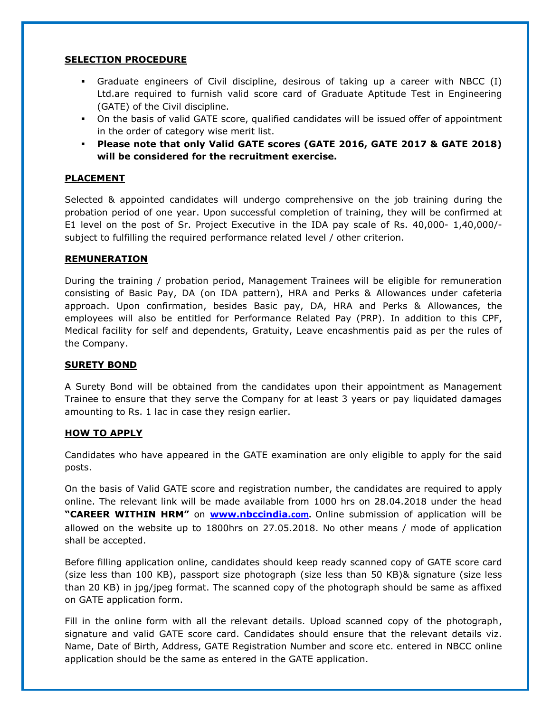#### **SELECTION PROCEDURE**

- Graduate engineers of Civil discipline, desirous of taking up a career with NBCC (I) Ltd.are required to furnish valid score card of Graduate Aptitude Test in Engineering (GATE) of the Civil discipline.
- On the basis of valid GATE score, qualified candidates will be issued offer of appointment in the order of category wise merit list.
- **Please note that only Valid GATE scores (GATE 2016, GATE 2017 & GATE 2018) will be considered for the recruitment exercise.**

#### **PLACEMENT**

Selected & appointed candidates will undergo comprehensive on the job training during the probation period of one year. Upon successful completion of training, they will be confirmed at E1 level on the post of Sr. Project Executive in the IDA pay scale of Rs. 40,000- 1,40,000/ subject to fulfilling the required performance related level / other criterion.

#### **REMUNERATION**

During the training / probation period, Management Trainees will be eligible for remuneration consisting of Basic Pay, DA (on IDA pattern), HRA and Perks & Allowances under cafeteria approach. Upon confirmation, besides Basic pay, DA, HRA and Perks & Allowances, the employees will also be entitled for Performance Related Pay (PRP). In addition to this CPF, Medical facility for self and dependents, Gratuity, Leave encashmentis paid as per the rules of the Company.

#### **SURETY BOND**

A Surety Bond will be obtained from the candidates upon their appointment as Management Trainee to ensure that they serve the Company for at least 3 years or pay liquidated damages amounting to Rs. 1 lac in case they resign earlier.

#### **HOW TO APPLY**

Candidates who have appeared in the GATE examination are only eligible to apply for the said posts.

On the basis of Valid GATE score and registration number, the candidates are required to apply online. The relevant link will be made available from 1000 hrs on 28.04.2018 under the head **"CAREER WITHIN HRM"** on **[www.nbccindia.](http://www.nbccindia.com/)com.** Online submission of application will be allowed on the website up to 1800hrs on 27.05.2018. No other means / mode of application shall be accepted.

Before filling application online, candidates should keep ready scanned copy of GATE score card (size less than 100 KB), passport size photograph (size less than 50 KB)& signature (size less than 20 KB) in jpg/jpeg format. The scanned copy of the photograph should be same as affixed on GATE application form.

Fill in the online form with all the relevant details. Upload scanned copy of the photograph, signature and valid GATE score card. Candidates should ensure that the relevant details viz. Name, Date of Birth, Address, GATE Registration Number and score etc. entered in NBCC online application should be the same as entered in the GATE application.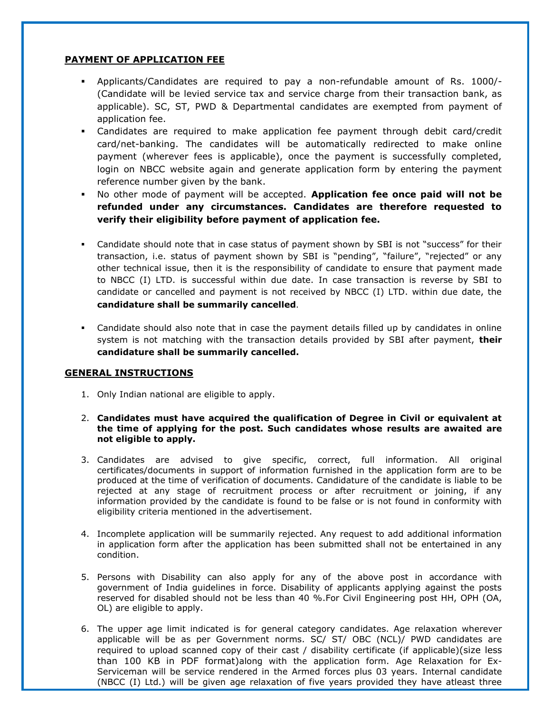### **PAYMENT OF APPLICATION FEE**

- Applicants/Candidates are required to pay a non-refundable amount of Rs. 1000/- (Candidate will be levied service tax and service charge from their transaction bank, as applicable). SC, ST, PWD & Departmental candidates are exempted from payment of application fee.
- Candidates are required to make application fee payment through debit card/credit card/net-banking. The candidates will be automatically redirected to make online payment (wherever fees is applicable), once the payment is successfully completed, login on NBCC website again and generate application form by entering the payment reference number given by the bank.
- No other mode of payment will be accepted. **Application fee once paid will not be refunded under any circumstances. Candidates are therefore requested to verify their eligibility before payment of application fee.**
- Candidate should note that in case status of payment shown by SBI is not "success" for their transaction, i.e. status of payment shown by SBI is "pending", "failure", "rejected" or any other technical issue, then it is the responsibility of candidate to ensure that payment made to NBCC (I) LTD. is successful within due date. In case transaction is reverse by SBI to candidate or cancelled and payment is not received by NBCC (I) LTD. within due date, the **candidature shall be summarily cancelled**.
- Candidate should also note that in case the payment details filled up by candidates in online system is not matching with the transaction details provided by SBI after payment, **their candidature shall be summarily cancelled.**

#### **GENERAL INSTRUCTIONS**

- 1. Only Indian national are eligible to apply.
- 2. **Candidates must have acquired the qualification of Degree in Civil or equivalent at the time of applying for the post. Such candidates whose results are awaited are not eligible to apply.**
- 3. Candidates are advised to give specific, correct, full information. All original certificates/documents in support of information furnished in the application form are to be produced at the time of verification of documents. Candidature of the candidate is liable to be rejected at any stage of recruitment process or after recruitment or joining, if any information provided by the candidate is found to be false or is not found in conformity with eligibility criteria mentioned in the advertisement.
- 4. Incomplete application will be summarily rejected. Any request to add additional information in application form after the application has been submitted shall not be entertained in any condition.
- 5. Persons with Disability can also apply for any of the above post in accordance with government of India guidelines in force. Disability of applicants applying against the posts reserved for disabled should not be less than 40 %.For Civil Engineering post HH, OPH (OA, OL) are eligible to apply.
- 6. The upper age limit indicated is for general category candidates. Age relaxation wherever applicable will be as per Government norms. SC/ ST/ OBC (NCL)/ PWD candidates are required to upload scanned copy of their cast / disability certificate (if applicable)(size less than 100 KB in PDF format)along with the application form. Age Relaxation for Ex-Serviceman will be service rendered in the Armed forces plus 03 years. Internal candidate (NBCC (I) Ltd.) will be given age relaxation of five years provided they have atleast three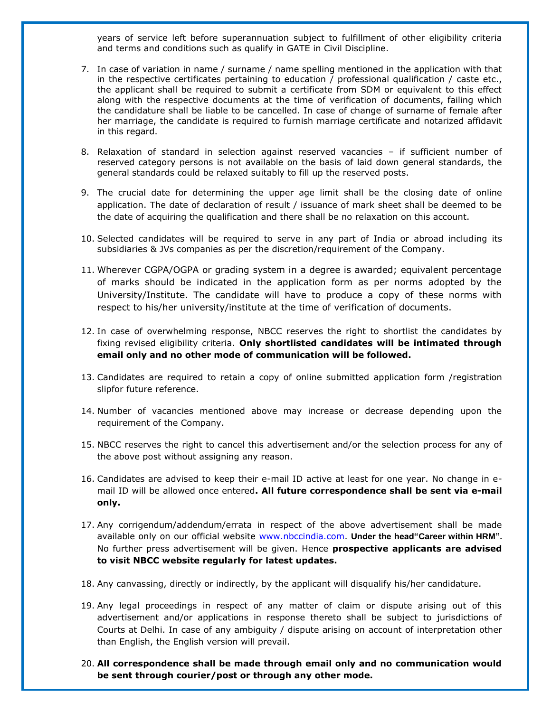years of service left before superannuation subject to fulfillment of other eligibility criteria and terms and conditions such as qualify in GATE in Civil Discipline.

- 7. In case of variation in name / surname / name spelling mentioned in the application with that in the respective certificates pertaining to education / professional qualification / caste etc., the applicant shall be required to submit a certificate from SDM or equivalent to this effect along with the respective documents at the time of verification of documents, failing which the candidature shall be liable to be cancelled. In case of change of surname of female after her marriage, the candidate is required to furnish marriage certificate and notarized affidavit in this regard.
- 8. Relaxation of standard in selection against reserved vacancies if sufficient number of reserved category persons is not available on the basis of laid down general standards, the general standards could be relaxed suitably to fill up the reserved posts.
- 9. The crucial date for determining the upper age limit shall be the closing date of online application. The date of declaration of result / issuance of mark sheet shall be deemed to be the date of acquiring the qualification and there shall be no relaxation on this account.
- 10. Selected candidates will be required to serve in any part of India or abroad including its subsidiaries & JVs companies as per the discretion/requirement of the Company.
- 11. Wherever CGPA/OGPA or grading system in a degree is awarded; equivalent percentage of marks should be indicated in the application form as per norms adopted by the University/Institute. The candidate will have to produce a copy of these norms with respect to his/her university/institute at the time of verification of documents.
- 12. In case of overwhelming response, NBCC reserves the right to shortlist the candidates by fixing revised eligibility criteria. **Only shortlisted candidates will be intimated through email only and no other mode of communication will be followed.**
- 13. Candidates are required to retain a copy of online submitted application form /registration slipfor future reference.
- 14. Number of vacancies mentioned above may increase or decrease depending upon the requirement of the Company.
- 15. NBCC reserves the right to cancel this advertisement and/or the selection process for any of the above post without assigning any reason.
- 16. Candidates are advised to keep their e-mail ID active at least for one year. No change in email ID will be allowed once entered**. All future correspondence shall be sent via e-mail only.**
- 17. Any corrigendum/addendum/errata in respect of the above advertisement shall be made available only on our official website www.nbccindia.com. **Under the head"Career within HRM".**  No further press advertisement will be given. Hence **prospective applicants are advised to visit NBCC website regularly for latest updates.**
- 18. Any canvassing, directly or indirectly, by the applicant will disqualify his/her candidature.
- 19. Any legal proceedings in respect of any matter of claim or dispute arising out of this advertisement and/or applications in response thereto shall be subject to jurisdictions of Courts at Delhi. In case of any ambiguity / dispute arising on account of interpretation other than English, the English version will prevail.
- 20. **All correspondence shall be made through email only and no communication would be sent through courier/post or through any other mode.**